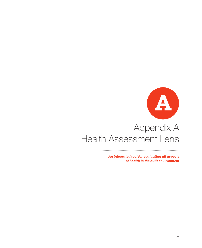

# Appendix A Health Assessment Lens

*An integrated tool for evaluating all aspects of health in the built environment*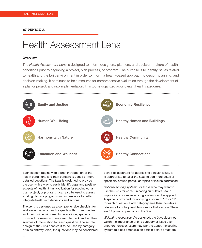#### **APPENDIX A**

## Health Assessment Lens

#### **Overview**

The *Health Assessment Lens* is designed to inform designers, planners, and decision-makers of health conditions prior to beginning a project, plan process, or program. The purpose is to identify issues related to health and the built environment in order to inform a health-based approach to design, planning, and decision-making. It continues to be a resource for comprehensive evaluation through the development of a plan or project, and into implementation. This tool is organized around eight health categories.



Each section begins with a brief introduction of the health conditions and then contains a series of more detailed questions. The *Lens* is designed to provide the user with a way to easily identify gaps and positive aspects of health. It has application for scoping out a plan, project, or program. It can also be used to assess existing plans or programs and inform work to better integrate health into decisions and actions.

The *Lens* is designed as a comprehensive checklist for addressing various health aspects within communities and their built environments. In addition, space is provided for users who may want to track and list their sources of information for each question. The simple design of the *Lens* enables it to be used by category or in its entirety. Also, the questions may be considered points-of-departure for addressing a health issue. It is appropriate to tailor the *Lens* to add more detail or specificity around particular topics or issues addressed.

*Optional scoring system:* For those who may want to use the *Lens* for communicating cumulative health implications, a simple scoring system can be applied. A space is provided for applying a score of "0" or "1" for each question. Each category area then includes a reference for total possible score for that section. There are 62 primary questions in the Tool.

*Weighting responses:* As designed, the *Lens* does not weigh the importance of one category or issue over another; however, users may want to adapt the scoring system to place emphasis on certain points or factors.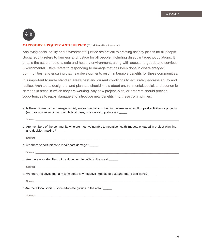

### **CATEGORY I. EQUITY AND JUSTICE (Total Possible Score: 6)**

Achieving social equity and environmental justice are critical to creating healthy places for all people. Social equity refers to fairness and justice for all people, including disadvantaged populations. It entails the assurance of a safe and healthy environment, along with access to goods and services. Environmental justice refers to responding to damage that has been done in disadvantaged communities, and ensuring that new developments result in tangible benefits for these communities.

It is important to understand an area's past and current conditions to accurately address equity and justice. Architects, designers, and planners should know about environmental, social, and economic damage in areas in which they are working. Any new project, plan, or program should provide opportunities to repair damage and introduce new benefits into these communities.

- a. Is there minimal or no damage (social, environmental, or other) in the area as a result of past activities or projects (such as nuisances, incompatible land uses, or sources of pollution)? \_\_\_\_\_\_
	- Source: \_\_\_\_\_\_\_\_\_\_\_\_\_\_\_\_\_\_\_\_\_\_\_\_\_\_\_\_\_\_\_\_\_\_\_\_\_\_\_\_\_\_\_\_\_\_\_\_\_\_\_\_\_\_\_\_\_\_\_\_\_\_\_\_\_\_\_\_\_\_\_\_\_\_\_\_\_\_\_\_\_\_\_\_\_\_\_\_\_\_\_\_\_\_\_\_\_\_\_\_\_\_\_\_\_\_\_\_\_\_\_\_\_\_\_\_\_\_\_\_\_\_\_\_\_\_
- b. Are members of the community who are most vulnerable to negative health impacts engaged in project planning and decision-making?

Source: \_\_\_\_\_\_\_\_\_\_\_\_\_\_\_\_\_\_\_\_\_\_\_\_\_\_\_\_\_\_\_\_\_\_\_\_\_\_\_\_\_\_\_\_\_\_\_\_\_\_\_\_\_\_\_\_\_\_\_\_\_\_\_\_\_\_\_\_\_\_\_\_\_\_\_\_\_\_\_\_\_\_\_\_\_\_\_\_\_\_\_\_\_\_\_\_\_\_\_\_\_\_\_\_\_\_\_\_\_\_\_\_\_\_\_\_\_\_\_\_\_\_\_\_\_\_

c. Are there opportunities to repair past damage?

Source: \_\_\_\_\_\_\_\_\_\_\_\_\_\_\_\_\_\_\_\_\_\_\_\_\_\_\_\_\_\_\_\_\_\_\_\_\_\_\_\_\_\_\_\_\_\_\_\_\_\_\_\_\_\_\_\_\_\_\_\_\_\_\_\_\_\_\_\_\_\_\_\_\_\_\_\_\_\_\_\_\_\_\_\_\_\_\_\_\_\_\_\_\_\_\_\_\_\_\_\_\_\_\_\_\_\_\_\_\_\_\_\_\_\_\_\_\_\_\_\_\_\_\_\_\_\_

d. Are there opportunities to introduce new benefits to the area?

Source:

e. Are there initiatives that aim to mitigate any negative impacts of past and future decisions?

Source: \_\_\_\_\_\_\_\_\_\_\_\_\_\_\_\_\_\_\_\_\_\_\_\_\_\_\_\_\_\_\_\_\_\_\_\_\_\_\_\_\_\_\_\_\_\_\_\_\_\_\_\_\_\_\_\_\_\_\_\_\_\_\_\_\_\_\_\_\_\_\_\_\_\_\_\_\_\_\_\_\_\_\_\_\_\_\_\_\_\_\_\_\_\_\_\_\_\_\_\_\_\_\_\_\_\_\_\_\_\_\_\_\_\_\_\_\_\_\_\_\_\_\_\_\_\_

f. Are there local social justice advocate groups in the area? \_\_\_\_\_\_

Source: \_\_\_\_\_\_\_\_\_\_\_\_\_\_\_\_\_\_\_\_\_\_\_\_\_\_\_\_\_\_\_\_\_\_\_\_\_\_\_\_\_\_\_\_\_\_\_\_\_\_\_\_\_\_\_\_\_\_\_\_\_\_\_\_\_\_\_\_\_\_\_\_\_\_\_\_\_\_\_\_\_\_\_\_\_\_\_\_\_\_\_\_\_\_\_\_\_\_\_\_\_\_\_\_\_\_\_\_\_\_\_\_\_\_\_\_\_\_\_\_\_\_\_\_\_\_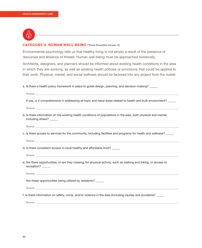

### **CATEGORY II. HUMAN WELL-BEING (Total Possible Score: 6)**

Environmental psychology tells us that healthy living is not simply a result of the presence of resources and absence of threats. Human well-being must be approached holistically.

Architects, designers, and planners should be informed about existing health conditions in the area in which they are working, as well as existing health policies or provisions that could be applied to their work. Physical, mental, and social wellness should be factored into any project from the outset.

a. Is there a health policy framework in place to guide design, planning, and decision-making? \_\_\_\_\_

| If yes, is it comprehensive in addressing all topic and issue areas related to health and built environment?                               |
|--------------------------------------------------------------------------------------------------------------------------------------------|
|                                                                                                                                            |
| b. Is there information on the existing health conditions of populations in the area, both physical and mental,<br>including stress? _____ |
|                                                                                                                                            |
| c. Is there access to services for the community, including facilities and programs for health and wellness? _____                         |
|                                                                                                                                            |
| d. Is there consistent access to local healthy and affordable food?                                                                        |
|                                                                                                                                            |
| e. Are there opportunities, or are they missing, for physical activity, such as walking and biking, or access to<br>recreation?            |
|                                                                                                                                            |
| Are these opportunities being utilized by residents?                                                                                       |
|                                                                                                                                            |
| f. Is there information on safety, crime, and/or violence in the area (including injuries and accidents? _____                             |
|                                                                                                                                            |
|                                                                                                                                            |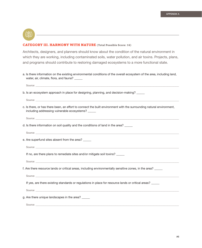$\mathbb{C}\rightarrow$ 

#### **CATEGORY III. HARMONY WITH NATURE (Total Possible Score: 16)**

Architects, designers, and planners should know about the condition of the natural environment in which they are working, including contaminated soils, water pollution, and air toxins. Projects, plans, and programs should contribute to restoring damaged ecosystems to a more functional state.

a. Is there information on the existing environmental conditions of the overall ecosystem of the area, including land, water, air, climate, flora, and fauna? \_\_\_\_\_

| b. Is an ecosystem approach in place for designing, planning, and decision-making?                                                                                                                                             |
|--------------------------------------------------------------------------------------------------------------------------------------------------------------------------------------------------------------------------------|
|                                                                                                                                                                                                                                |
| c. Is there, or has there been, an effort to connect the built environment with the surrounding natural environment,<br>including addressing vulnerable ecosystems? _____                                                      |
|                                                                                                                                                                                                                                |
| d. Is there information on soil quality and the conditions of land in the area? _____                                                                                                                                          |
|                                                                                                                                                                                                                                |
| e. Are superfund sites absent from the area?                                                                                                                                                                                   |
| Source: experience and the second contract of the second contract of the second contract of the second contract of the second contract of the second contract of the second contract of the second contract of the second cont |
| If no, are there plans to remediate sites and/or mitigate soil toxins?                                                                                                                                                         |
|                                                                                                                                                                                                                                |
| f. Are there resource lands or critical areas, including environmentally sensitive zones, in the area?                                                                                                                         |
|                                                                                                                                                                                                                                |
| If yes, are there existing standards or regulations in place for resource lands or critical areas?                                                                                                                             |
| Source: the contract of the contract of the contract of the contract of the contract of the contract of the contract of the contract of the contract of the contract of the contract of the contract of the contract of the co |
| g. Are there unique landscapes in the area?                                                                                                                                                                                    |
|                                                                                                                                                                                                                                |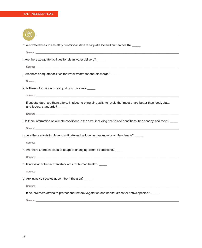| h. Are watersheds in a healthy, functional state for aquatic life and human health? _____                                                                                                                                      |
|--------------------------------------------------------------------------------------------------------------------------------------------------------------------------------------------------------------------------------|
|                                                                                                                                                                                                                                |
| i. Are there adequate facilities for clean water delivery?                                                                                                                                                                     |
|                                                                                                                                                                                                                                |
| j. Are there adequate facilities for water treatment and discharge?                                                                                                                                                            |
| Source: New York Source: New York Source: New York Source: New York Source: New York Source: New York Source: New York Source: New York Source: New York Source: New York Source: New York Source: New York Source: New York S |
| k. Is there information on air quality in the area?                                                                                                                                                                            |
|                                                                                                                                                                                                                                |
| If substandard, are there efforts in place to bring air quality to levels that meet or are better than local, state,<br>and federal standards? _____                                                                           |
|                                                                                                                                                                                                                                |
| I. Is there information on climate conditions in the area, including heat island conditions, tree canopy, and more?                                                                                                            |
|                                                                                                                                                                                                                                |
| m. Are there efforts in place to mitigate and reduce human impacts on the climate?                                                                                                                                             |
|                                                                                                                                                                                                                                |
| n. Are there efforts in place to adapt to changing climate conditions?                                                                                                                                                         |
|                                                                                                                                                                                                                                |
| o. Is noise at or better than standards for human health?                                                                                                                                                                      |
| Source: the contract of the contract of the contract of the contract of the contract of the contract of the contract of the contract of the contract of the contract of the contract of the contract of the contract of the co |
| p. Are invasive species absent from the area?                                                                                                                                                                                  |
| Source: Note: Note: Note: Note: Note: Note: Note: Note: Note: Note: Note: Note: Note: Note: Note: No                                                                                                                           |
| If no, are there efforts to protect and restore vegetation and habitat areas for native species? _____                                                                                                                         |
|                                                                                                                                                                                                                                |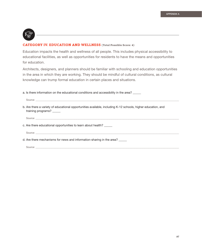

### **CATEGORY IV. EDUCATION AND WELLNESS (Total Possible Score: 4)**

Education impacts the health and wellness of all people. This includes physical accessibility to educational facilities, as well as opportunities for residents to have the means and opportunities for education.

Architects, designers, and planners should be familiar with schooling and education opportunities in the area in which they are working. They should be mindful of cultural conditions, as cultural knowledge can trump formal education in certain places and situations.

a. Is there information on the educational conditions and accessibility in the area? \_\_

| b. Are there a variety of educational opportunities available, including K-12 schools, higher education, and<br>training programs?                                                                                                                                                                                                                                                                                                                                   |
|----------------------------------------------------------------------------------------------------------------------------------------------------------------------------------------------------------------------------------------------------------------------------------------------------------------------------------------------------------------------------------------------------------------------------------------------------------------------|
| $\text{Source:}\underbrace{\hspace{0.5cm}}_{\text{1}}\hspace{0.5cm}\underbrace{\hspace{0.5cm}}_{\text{2}}\hspace{0.5cm}\underbrace{\hspace{0.5cm}}_{\text{3}}\hspace{0.5cm}\underbrace{\hspace{0.5cm}}_{\text{4}}\hspace{0.5cm}\underbrace{\hspace{0.5cm}}_{\text{5}}\hspace{0.5cm}\underbrace{\hspace{0.5cm}}_{\text{6}}\hspace{0.5cm}\underbrace{\hspace{0.5cm}}_{\text{7}}\hspace{0.5cm}\underbrace{\hspace{0.5cm}}_{\text{8}}\hspace{0.5cm}\underbrace{\hspace{$ |
| c. Are there educational opportunities to learn about health?                                                                                                                                                                                                                                                                                                                                                                                                        |
|                                                                                                                                                                                                                                                                                                                                                                                                                                                                      |
| d. Are there mechanisms for news and information-sharing in the area? _____                                                                                                                                                                                                                                                                                                                                                                                          |
|                                                                                                                                                                                                                                                                                                                                                                                                                                                                      |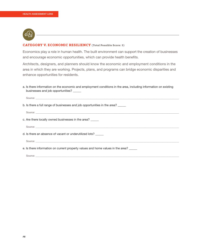

#### **CATEGORY V. ECONOMIC RESILIENCY (Total Possible Score: 5)**

Economics play a role in human health. The built environment can support the creation of businesses and encourage economic opportunities, which can provide health benefits.

Architects, designers, and planners should know the economic and employment conditions in the area in which they are working. Projects, plans, and programs can bridge economic disparities and enhance opportunities for residents.

a. Is there information on the economic and employment conditions in the area, including information on existing businesses and job opportunities? \_\_\_\_\_\_

| b. Is there a full range of businesses and job opportunities in the area?                                    |
|--------------------------------------------------------------------------------------------------------------|
|                                                                                                              |
| c. Are there locally owned businesses in the area?                                                           |
|                                                                                                              |
| d. Is there an absence of vacant or underutilized lots?                                                      |
| Source: Latin and Contract and Contract and Contract and Contract and Contract and Contract and Contract and |
| e. Is there information on current property values and home values in the area? _____                        |
|                                                                                                              |
|                                                                                                              |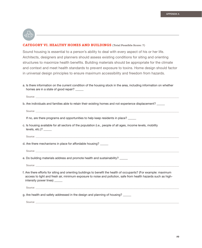

#### **CATEGORY VI. HEALTHY HOMES AND BUILDINGS (Total Possible Score: 7)**

Sound housing is essential to a person's ability to deal with every aspect of his or her life. Architects, designers and planners should assess existing conditions for siting and orienting structures to maximize health benefits. Building materials should be appropriate for the climate and context and meet health standards to prevent exposure to toxins. Home design should factor in universal design principles to ensure maximum accessibility and freedom from hazards.

a. Is there information on the current condition of the housing stock in the area, including information on whether homes are in a state of good repair?

Source: \_\_\_\_\_\_\_\_\_\_\_\_\_\_\_\_\_\_\_\_\_\_\_\_\_\_\_\_\_\_\_\_\_\_\_\_\_\_\_\_\_\_\_\_\_\_\_\_\_\_\_\_\_\_\_\_\_\_\_\_\_\_\_\_\_\_\_\_\_\_\_\_\_\_\_\_\_\_\_\_\_\_\_\_\_\_\_\_\_\_\_\_\_\_\_\_\_\_\_\_\_\_\_\_\_\_\_\_\_\_\_\_\_\_\_\_\_\_\_\_\_\_\_\_\_\_

b. Are individuals and families able to retain their existing homes and not experience displacement?

```
Source: ______________________________________________________________________________________________________________________________
```
If no, are there programs and opportunities to help keep residents in place?

c. Is housing available for all sectors of the population (i.e., people of all ages, income levels, mobility levels, etc.)? \_\_\_\_\_\_

```
Source: ______________________________________________________________________________________________________________________________
```
- d. Are there mechanisms in place for affordable housing?
	- Source: \_\_\_\_\_\_\_\_\_\_\_\_\_\_\_\_\_\_\_\_\_\_\_\_\_\_\_\_\_\_\_\_\_\_\_\_\_\_\_\_\_\_\_\_\_\_\_\_\_\_\_\_\_\_\_\_\_\_\_\_\_\_\_\_\_\_\_\_\_\_\_\_\_\_\_\_\_\_\_\_\_\_\_\_\_\_\_\_\_\_\_\_\_\_\_\_\_\_\_\_\_\_\_\_\_\_\_\_\_\_\_\_\_\_\_\_\_\_\_\_\_\_\_\_\_\_
- e. Do building materials address and promote health and sustainability? \_\_\_\_\_

Source: \_\_\_\_\_\_\_\_\_\_\_\_\_\_\_\_\_\_\_\_\_\_\_\_\_\_\_\_\_\_\_\_\_\_\_\_\_\_\_\_\_\_\_\_\_\_\_\_\_\_\_\_\_\_\_\_\_\_\_\_\_\_\_\_\_\_\_\_\_\_\_\_\_\_\_\_\_\_\_\_\_\_\_\_\_\_\_\_\_\_\_\_\_\_\_\_\_\_\_\_\_\_\_\_\_\_\_\_\_\_\_\_\_\_\_\_\_\_\_\_\_\_\_\_\_\_

f. Are there efforts for siting and orienting buildings to benefit the health of occupants? (For example: maximum access to light and fresh air, minimum exposure to noise and pollution, safe from health hazards such as highintensity power lines) \_\_\_\_\_\_

Source: \_\_\_\_\_\_\_\_\_\_\_\_\_\_\_\_\_\_\_\_\_\_\_\_\_\_\_\_\_\_\_\_\_\_\_\_\_\_\_\_\_\_\_\_\_\_\_\_\_\_\_\_\_\_\_\_\_\_\_\_\_\_\_\_\_\_\_\_\_\_\_\_\_\_\_\_\_\_\_\_\_\_\_\_\_\_\_\_\_\_\_\_\_\_\_\_\_\_\_\_\_\_\_\_\_\_\_\_\_\_\_\_\_\_\_\_\_\_\_\_\_\_\_\_\_\_

g. Are health and safety addressed in the design and planning of housing? \_\_\_\_\_\_

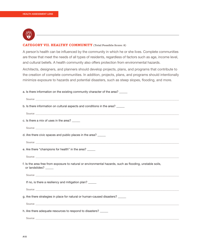

### **CATEGORY VII. HEALTHY COMMUNITY (Total Possible Score: 8)**

A person's health can be influenced by the community in which he or she lives. Complete communities are those that meet the needs of all types of residents, regardless of factors such as age, income level, and cultural beliefs. A health community also offers protection from environmental hazards.

Architects, designers, and planners should develop projects, plans, and programs that contribute to the creation of complete communities. In addition, projects, plans, and programs should intentionally minimize exposure to hazards and potential disasters, such as steep slopes, flooding, and more.

| a. Is there information on the existing community character of the area?                                                                                                                                                       |
|--------------------------------------------------------------------------------------------------------------------------------------------------------------------------------------------------------------------------------|
|                                                                                                                                                                                                                                |
| b. Is there information on cultural aspects and conditions in the area?                                                                                                                                                        |
|                                                                                                                                                                                                                                |
| c. Is there a mix of uses in the area?                                                                                                                                                                                         |
|                                                                                                                                                                                                                                |
| d. Are there civic spaces and public places in the area?                                                                                                                                                                       |
|                                                                                                                                                                                                                                |
| e. Are there "champions for health" in the area?                                                                                                                                                                               |
|                                                                                                                                                                                                                                |
| f. Is the area free from exposure to natural or environmental hazards, such as flooding, unstable soils,<br>or landslides?                                                                                                     |
|                                                                                                                                                                                                                                |
| If no, is there a resiliency and mitigation plan?                                                                                                                                                                              |
|                                                                                                                                                                                                                                |
| g. Are there strategies in place for natural or human-caused disasters? ______                                                                                                                                                 |
|                                                                                                                                                                                                                                |
| h. Are there adequate resources to respond to disasters?                                                                                                                                                                       |
| Source: Lawrence and the contract of the contract of the contract of the contract of the contract of the contract of the contract of the contract of the contract of the contract of the contract of the contract of the contr |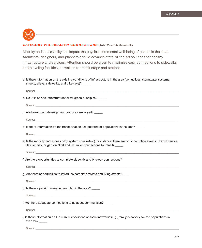

## **CATEGORY VIII. HEALTHY CONNECTIONS (Total Possible Score: 10)**

Mobility and accessibility can impact the physical and mental well-being of people in the area. Architects, designers, and planners should advance state-of-the-art solutions for healthy infrastructure and services. Attention should be given to maximize easy connections to sidewalks and bicycling facilities, as well as to transit stops and stations.

|  | a. Is there information on the existing conditions of infrastructure in the area (i.e., utilities, stormwater systems, |  |  |  |
|--|------------------------------------------------------------------------------------------------------------------------|--|--|--|
|  | streets, alleys, sidewalks, and bikeways)?                                                                             |  |  |  |

| Source: the contract of the contract of the contract of the contract of the contract of the contract of the contract of the contract of the contract of the contract of the contract of the contract of the contract of the co |
|--------------------------------------------------------------------------------------------------------------------------------------------------------------------------------------------------------------------------------|
| b. Do utilities and infrastructure follow green principles?                                                                                                                                                                    |
|                                                                                                                                                                                                                                |
| c. Are low-impact development practices employed?                                                                                                                                                                              |
| Source: New York Source: New York Source: New York Source: New York Source: New York Source: New York Source: New York Source: New York Source: New York Source: New York Source: New York Source: New York Source: New York S |
| d. Is there information on the transportation use patterns of populations in the area?                                                                                                                                         |
|                                                                                                                                                                                                                                |
| e. Is the mobility and accessibility system complete? (For instance, there are no "incomplete streets," transit service<br>deficiencies, or gaps in "first and last mile" connections to transit) _____                        |
| Source: experience and the state of the state of the state of the state of the state of the state of the state of the state of the state of the state of the state of the state of the state of the state of the state of the  |
| f. Are there opportunities to complete sidewalk and bikeway connections?                                                                                                                                                       |
|                                                                                                                                                                                                                                |
| g. Are there opportunities to introduce complete streets and living streets?                                                                                                                                                   |
|                                                                                                                                                                                                                                |
| h. Is there a parking management plan in the area?                                                                                                                                                                             |
|                                                                                                                                                                                                                                |
| i. Are there adequate connections to adjacent communities? _____                                                                                                                                                               |
|                                                                                                                                                                                                                                |
| j. Is there information on the current conditions of social networks (e.g., family networks) for the populations in<br>the area? $\frac{1}{\sqrt{1-\frac{1}{2}}}\$                                                             |

Source: \_\_\_\_\_\_\_\_\_\_\_\_\_\_\_\_\_\_\_\_\_\_\_\_\_\_\_\_\_\_\_\_\_\_\_\_\_\_\_\_\_\_\_\_\_\_\_\_\_\_\_\_\_\_\_\_\_\_\_\_\_\_\_\_\_\_\_\_\_\_\_\_\_\_\_\_\_\_\_\_\_\_\_\_\_\_\_\_\_\_\_\_\_\_\_\_\_\_\_\_\_\_\_\_\_\_\_\_\_\_\_\_\_\_\_\_\_\_\_\_\_\_\_\_\_\_